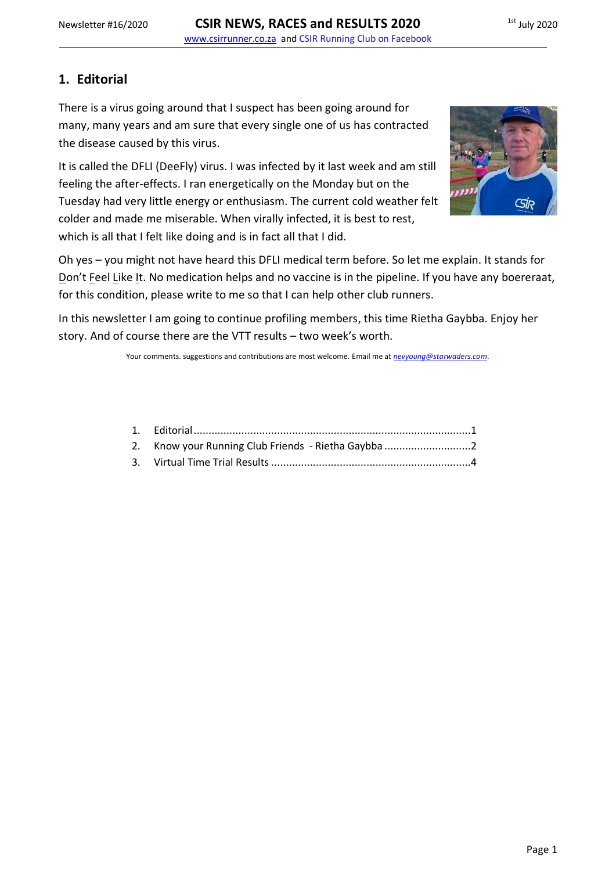# <span id="page-0-0"></span>**1. Editorial**

There is a virus going around that I suspect has been going around for many, many years and am sure that every single one of us has contracted the disease caused by this virus.

It is called the DFLI (DeeFly) virus. I was infected by it last week and am still feeling the after-effects. I ran energetically on the Monday but on the Tuesday had very little energy or enthusiasm. The current cold weather felt colder and made me miserable. When virally infected, it is best to rest, which is all that I felt like doing and is in fact all that I did.



Oh yes – you might not have heard this DFLI medical term before. So let me explain. It stands for Don't Feel Like It. No medication helps and no vaccine is in the pipeline. If you have any boereraat, for this condition, please write to me so that I can help other club runners.

In this newsletter I am going to continue profiling members, this time Rietha Gaybba. Enjoy her story. And of course there are the VTT results – two week's worth.

Your comments. suggestions and contributions are most welcome. Email me at *[nevyoung@starwaders.com](mailto:nevyoung@starwaders.com)*.

| 2. Know your Running Club Friends - Rietha Gaybba |  |
|---------------------------------------------------|--|
|                                                   |  |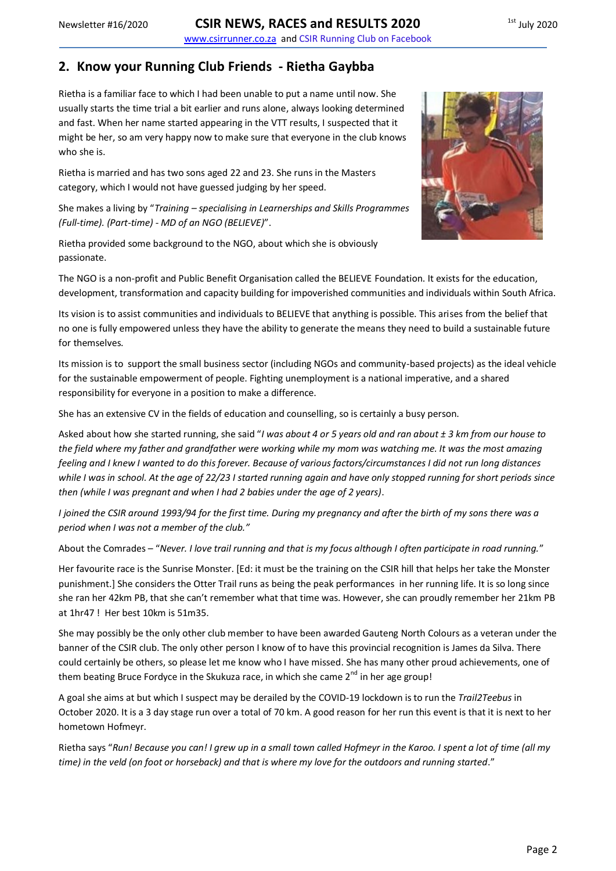#### <span id="page-1-0"></span>**2. Know your Running Club Friends - Rietha Gaybba**

Rietha is a familiar face to which I had been unable to put a name until now. She usually starts the time trial a bit earlier and runs alone, always looking determined and fast. When her name started appearing in the VTT results, I suspected that it might be her, so am very happy now to make sure that everyone in the club knows who she is.

Rietha is married and has two sons aged 22 and 23. She runs in the Masters category, which I would not have guessed judging by her speed.

She makes a living by "*Training – specialising in Learnerships and Skills Programmes (Full-time). (Part-time) - MD of an NGO (BELIEVE)*".

Rietha provided some background to the NGO, about which she is obviously passionate.

The NGO is a non-profit and Public Benefit Organisation called the BELIEVE Foundation. It exists for the education, development, transformation and capacity building for impoverished communities and individuals within South Africa.

Its vision is to assist communities and individuals to BELIEVE that anything is possible. This arises from the belief that no one is fully empowered unless they have the ability to generate the means they need to build a sustainable future for themselves.

Its mission is to support the small business sector (including NGOs and community-based projects) as the ideal vehicle for the sustainable empowerment of people. Fighting unemployment is a national imperative, and a shared responsibility for everyone in a position to make a difference.

She has an extensive CV in the fields of education and counselling, so is certainly a busy person.

Asked about how she started running, she said "*I was about 4 or 5 years old and ran about ± 3 km from our house to the field where my father and grandfather were working while my mom was watching me. It was the most amazing feeling and I knew I wanted to do this forever. Because of various factors/circumstances I did not run long distances while I was in school. At the age of 22/23 I started running again and have only stopped running for short periods since then (while I was pregnant and when I had 2 babies under the age of 2 years)*.

*I joined the CSIR around 1993/94 for the first time. During my pregnancy and after the birth of my sons there was a period when I was not a member of the club."*

About the Comrades – "*Never. I love trail running and that is my focus although I often participate in road running.*"

Her favourite race is the Sunrise Monster. [Ed: it must be the training on the CSIR hill that helps her take the Monster punishment.] She considers the Otter Trail runs as being the peak performances in her running life. It is so long since she ran her 42km PB, that she can't remember what that time was. However, she can proudly remember her 21km PB at 1hr47 ! Her best 10km is 51m35.

She may possibly be the only other club member to have been awarded Gauteng North Colours as a veteran under the banner of the CSIR club. The only other person I know of to have this provincial recognition is James da Silva. There could certainly be others, so please let me know who I have missed. She has many other proud achievements, one of them beating Bruce Fordyce in the Skukuza race, in which she came 2<sup>nd</sup> in her age group!

A goal she aims at but which I suspect may be derailed by the COVID-19 lockdown is to run the *Trail2Teebus* in October 2020. It is a 3 day stage run over a total of 70 km. A good reason for her run this event is that it is next to her hometown Hofmeyr.

Rietha says "*Run! Because you can! I grew up in a small town called Hofmeyr in the Karoo. I spent a lot of time (all my time) in the veld (on foot or horseback) and that is where my love for the outdoors and running started*."

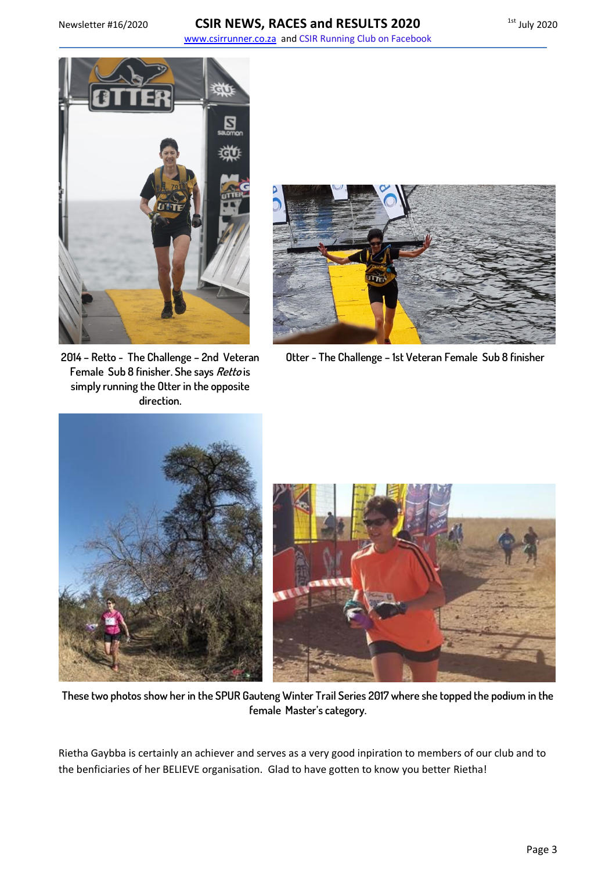#### Newsletter #16/2020 **CSIR NEWS, RACES and RESULTS 2020** 1st July 2020 www.csirrunner.co.za and CSIR Running Club on Facebook



**2014 – Retto - The Challenge – 2nd Veteran Female Sub 8 finisher. She says Retto is simply running the Otter in the opposite direction.**



**Otter - The Challenge – 1st Veteran Female Sub 8 finisher**





**These two photos show her in the SPUR Gauteng Winter Trail Series 2017 where she topped the podium in the female Master's category.**

Rietha Gaybba is certainly an achiever and serves as a very good inpiration to members of our club and to the benficiaries of her BELIEVE organisation. Glad to have gotten to know you better Rietha!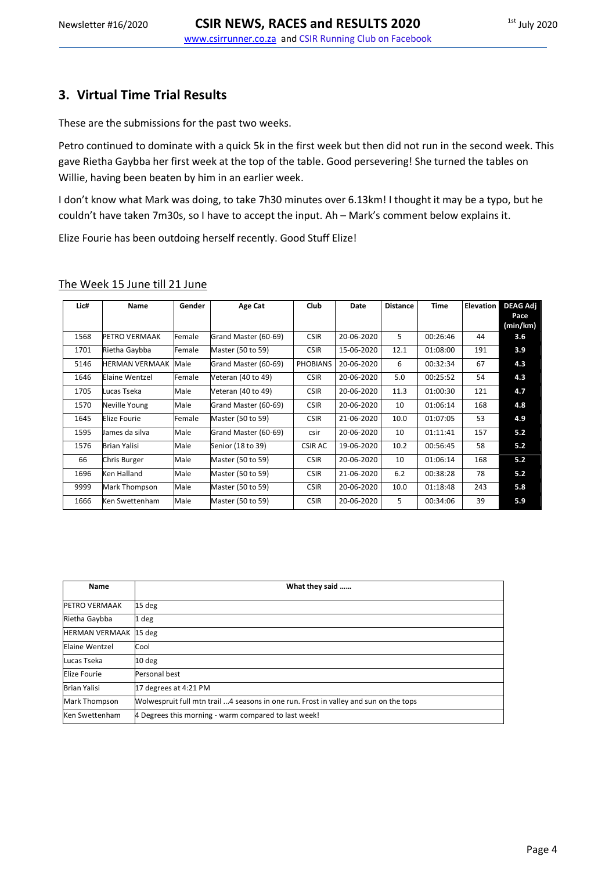## <span id="page-3-0"></span>**3. Virtual Time Trial Results**

These are the submissions for the past two weeks.

Petro continued to dominate with a quick 5k in the first week but then did not run in the second week. This gave Rietha Gaybba her first week at the top of the table. Good persevering! She turned the tables on Willie, having been beaten by him in an earlier week.

I don't know what Mark was doing, to take 7h30 minutes over 6.13km! I thought it may be a typo, but he couldn't have taken 7m30s, so I have to accept the input. Ah – Mark's comment below explains it.

Elize Fourie has been outdoing herself recently. Good Stuff Elize!

#### The Week 15 June till 21 June

| Lic# | Name                  | Gender | Age Cat              | <b>Club</b>     | Date       | <b>Distance</b> | <b>Time</b> | <b>Elevation</b> | <b>DEAG Adj</b><br>Pace |
|------|-----------------------|--------|----------------------|-----------------|------------|-----------------|-------------|------------------|-------------------------|
|      |                       |        |                      |                 |            |                 |             |                  | (min/km)                |
| 1568 | PETRO VERMAAK         | Female | Grand Master (60-69) | <b>CSIR</b>     | 20-06-2020 | 5               | 00:26:46    | 44               | 3.6                     |
| 1701 | Rietha Gaybba         | Female | Master (50 to 59)    | <b>CSIR</b>     | 15-06-2020 | 12.1            | 01:08:00    | 191              | 3.9                     |
| 5146 | <b>HERMAN VERMAAK</b> | Male   | Grand Master (60-69) | <b>PHOBIANS</b> | 20-06-2020 | 6               | 00:32:34    | 67               | 4.3                     |
| 1646 | Elaine Wentzel        | Female | Veteran (40 to 49)   | <b>CSIR</b>     | 20-06-2020 | 5.0             | 00:25:52    | 54               | 4.3                     |
| 1705 | Lucas Tseka           | Male   | Veteran (40 to 49)   | <b>CSIR</b>     | 20-06-2020 | 11.3            | 01:00:30    | 121              | 4.7                     |
| 1570 | Neville Young         | Male   | Grand Master (60-69) | <b>CSIR</b>     | 20-06-2020 | 10              | 01:06:14    | 168              | 4.8                     |
| 1645 | Elize Fourie          | Female | Master (50 to 59)    | <b>CSIR</b>     | 21-06-2020 | 10.0            | 01:07:05    | 53               | 4.9                     |
| 1595 | James da silva        | Male   | Grand Master (60-69) | csir            | 20-06-2020 | 10              | 01:11:41    | 157              | 5.2                     |
| 1576 | Brian Yalisi          | Male   | Senior (18 to 39)    | <b>CSIR AC</b>  | 19-06-2020 | 10.2            | 00:56:45    | 58               | 5.2                     |
| 66   | Chris Burger          | Male   | Master (50 to 59)    | <b>CSIR</b>     | 20-06-2020 | 10              | 01:06:14    | 168              | 5.2                     |
| 1696 | Ken Halland           | Male   | Master (50 to 59)    | <b>CSIR</b>     | 21-06-2020 | 6.2             | 00:38:28    | 78               | 5.2                     |
| 9999 | Mark Thompson         | Male   | Master (50 to 59)    | <b>CSIR</b>     | 20-06-2020 | 10.0            | 01:18:48    | 243              | 5.8                     |
| 1666 | Ken Swettenham        | Male   | Master (50 to 59)    | <b>CSIR</b>     | 20-06-2020 | 5               | 00:34:06    | 39               | 5.9                     |

| Name                         | What they said                                                                       |
|------------------------------|--------------------------------------------------------------------------------------|
| <b>PETRO VERMAAK</b>         | 15 deg                                                                               |
| Rietha Gaybba                | 1 deg                                                                                |
| <b>HERMAN VERMAAK 15 deg</b> |                                                                                      |
| Elaine Wentzel               | Cool                                                                                 |
| Lucas Tseka                  | 10 <sub>deg</sub>                                                                    |
| Elize Fourie                 | Personal best                                                                        |
| <b>Brian Yalisi</b>          | 17 degrees at 4:21 PM                                                                |
| <b>Mark Thompson</b>         | Wolwespruit full mtn trail 4 seasons in one run. Frost in valley and sun on the tops |
| Ken Swettenham               | 4 Degrees this morning - warm compared to last week!                                 |